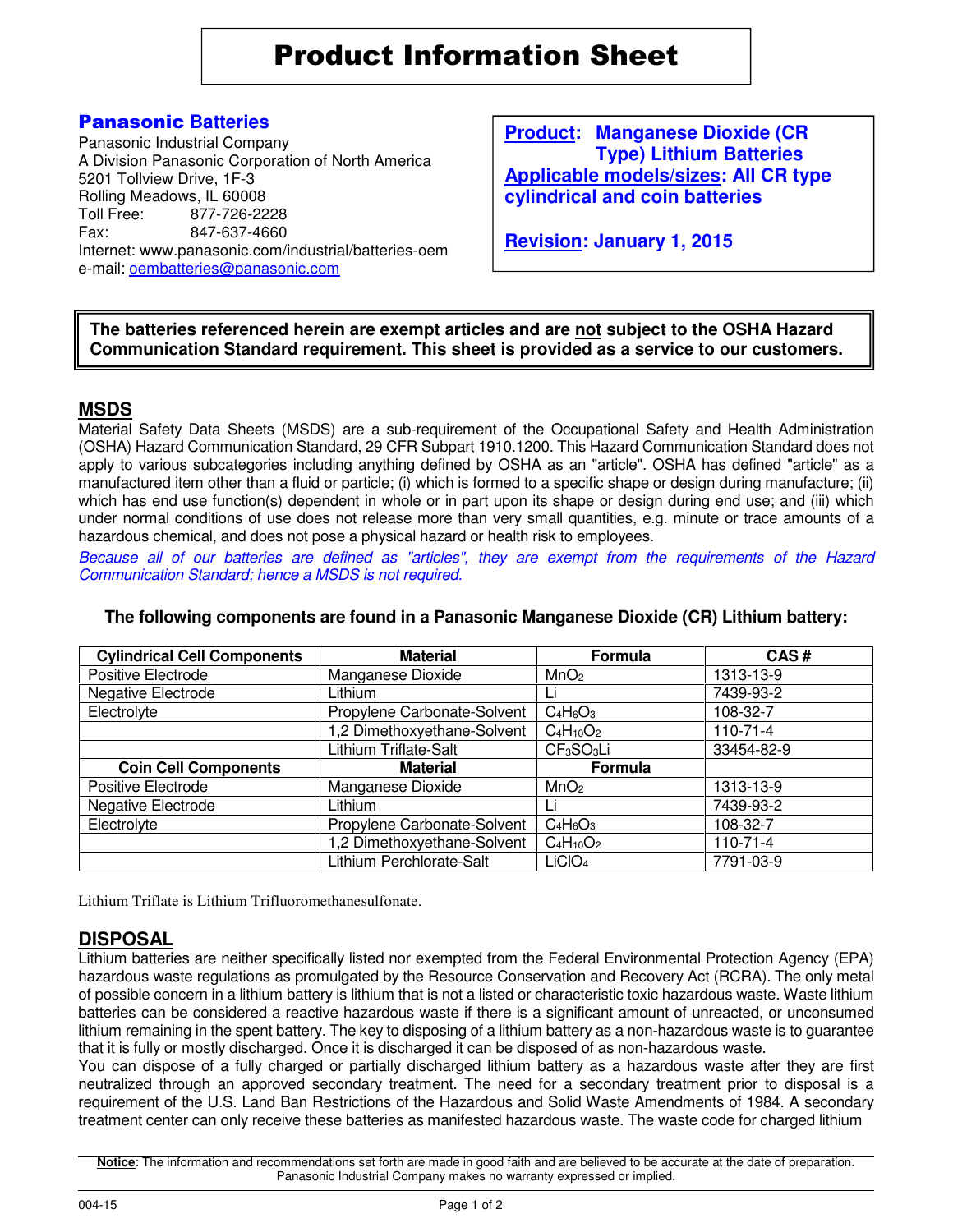Product Information Sheet

# Panasonic **Batteries**

Panasonic Industrial Company A Division Panasonic Corporation of North America 5201 Tollview Drive, 1F-3 Rolling Meadows, IL 60008<br>Toll Free: 877-726-22 Toll Free: 877-726-2228 847-637-4660 Internet: www.panasonic.com/industrial/batteries-oem e-mail: oembatteries@panasonic.com

**Product: Manganese Dioxide (CR Type) Lithium Batteries Applicable models/sizes: All CR type cylindrical and coin batteries**

**Revision: January 1, 2015**

**The batteries referenced herein are exempt articles and are not subject to the OSHA Hazard Communication Standard requirement. This sheet is provided as a service to our customers.** 

### **MSDS**

Material Safety Data Sheets (MSDS) are a sub-requirement of the Occupational Safety and Health Administration (OSHA) Hazard Communication Standard, 29 CFR Subpart 1910.1200. This Hazard Communication Standard does not apply to various subcategories including anything defined by OSHA as an "article". OSHA has defined "article" as a manufactured item other than a fluid or particle; (i) which is formed to a specific shape or design during manufacture; (ii) which has end use function(s) dependent in whole or in part upon its shape or design during end use; and (iii) which under normal conditions of use does not release more than very small quantities, e.g. minute or trace amounts of a hazardous chemical, and does not pose a physical hazard or health risk to employees.

Because all of our batteries are defined as "articles", they are exempt from the requirements of the Hazard Communication Standard; hence a MSDS is not required.

| <b>Cylindrical Cell Components</b> | <b>Material</b>             | Formula                            | CAS#           |
|------------------------------------|-----------------------------|------------------------------------|----------------|
| Positive Electrode                 | Manganese Dioxide           | MnO <sub>2</sub>                   | 1313-13-9      |
| Negative Electrode                 | Lithium                     | Li                                 | 7439-93-2      |
| Electrolyte                        | Propylene Carbonate-Solvent | $C_4H_6O_3$                        | 108-32-7       |
|                                    | 1,2 Dimethoxyethane-Solvent | $C_4H_{10}O_2$                     | $110 - 71 - 4$ |
|                                    | Lithium Triflate-Salt       | CF <sub>3</sub> SO <sub>3</sub> Li | 33454-82-9     |
| <b>Coin Cell Components</b>        | <b>Material</b>             | Formula                            |                |
| Positive Electrode                 | Manganese Dioxide           | MnO <sub>2</sub>                   | 1313-13-9      |
| Negative Electrode                 | Lithium                     | Li                                 | 7439-93-2      |
| Electrolyte                        | Propylene Carbonate-Solvent | $C_4H_6O_3$                        | 108-32-7       |
|                                    | 1,2 Dimethoxyethane-Solvent | $C_4H_{10}O_2$                     | $110 - 71 - 4$ |
|                                    | Lithium Perchlorate-Salt    | LiClO <sub>4</sub>                 | 7791-03-9      |

#### **The following components are found in a Panasonic Manganese Dioxide (CR) Lithium battery:**

Lithium Triflate is Lithium Trifluoromethanesulfonate.

### **DISPOSAL**

Lithium batteries are neither specifically listed nor exempted from the Federal Environmental Protection Agency (EPA) hazardous waste regulations as promulgated by the Resource Conservation and Recovery Act (RCRA). The only metal of possible concern in a lithium battery is lithium that is not a listed or characteristic toxic hazardous waste. Waste lithium batteries can be considered a reactive hazardous waste if there is a significant amount of unreacted, or unconsumed lithium remaining in the spent battery. The key to disposing of a lithium battery as a non-hazardous waste is to guarantee that it is fully or mostly discharged. Once it is discharged it can be disposed of as non-hazardous waste.

You can dispose of a fully charged or partially discharged lithium battery as a hazardous waste after they are first neutralized through an approved secondary treatment. The need for a secondary treatment prior to disposal is a requirement of the U.S. Land Ban Restrictions of the Hazardous and Solid Waste Amendments of 1984. A secondary treatment center can only receive these batteries as manifested hazardous waste. The waste code for charged lithium

**Notice**: The information and recommendations set forth are made in good faith and are believed to be accurate at the date of preparation. Panasonic Industrial Company makes no warranty expressed or implied.